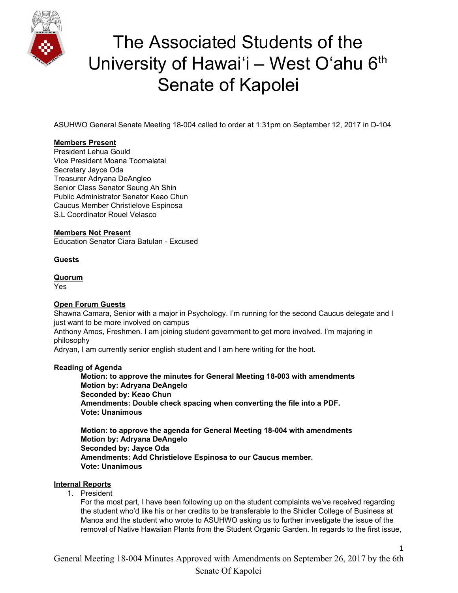

ASUHWO General Senate Meeting 18-004 called to order at 1:31pm on September 12, 2017 in D-104

### **Members Present**

President Lehua Gould Vice President Moana Toomalatai Secretary Jayce Oda Treasurer Adryana DeAngleo Senior Class Senator Seung Ah Shin Public Administrator Senator Keao Chun Caucus Member Christielove Espinosa S.L Coordinator Rouel Velasco

### **Members Not Present**

Education Senator Ciara Batulan - Excused

### **Guests**

#### **Quorum**

Yes

### **Open Forum Guests**

Shawna Camara, Senior with a major in Psychology. I'm running for the second Caucus delegate and I just want to be more involved on campus

Anthony Amos, Freshmen. I am joining student government to get more involved. I'm majoring in philosophy

Adryan, I am currently senior english student and I am here writing for the hoot.

### **Reading of Agenda**

**Motion: to approve the minutes for General Meeting 18-003 with amendments Motion by: Adryana DeAngelo Seconded by: Keao Chun Amendments: Double check spacing when converting the file into a PDF. Vote: Unanimous**

**Motion: to approve the agenda for General Meeting 18-004 with amendments Motion by: Adryana DeAngelo Seconded by: Jayce Oda Amendments: Add Christielove Espinosa to our Caucus member. Vote: Unanimous**

### **Internal Reports**

1. President

For the most part, I have been following up on the student complaints we've received regarding the student who'd like his or her credits to be transferable to the Shidler College of Business at Manoa and the student who wrote to ASUHWO asking us to further investigate the issue of the removal of Native Hawaiian Plants from the Student Organic Garden. In regards to the first issue,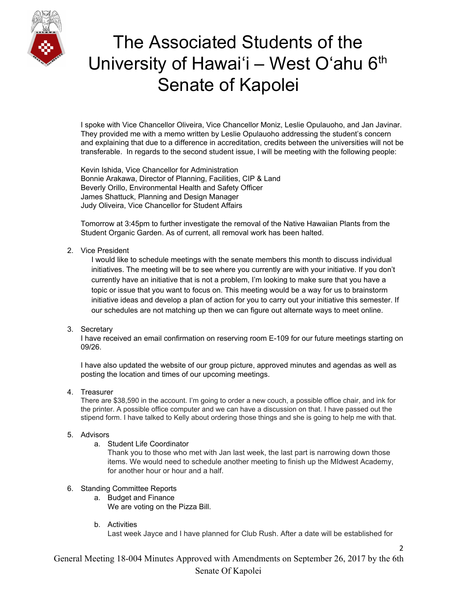

I spoke with Vice Chancellor Oliveira, Vice Chancellor Moniz, Leslie Opulauoho, and Jan Javinar. They provided me with a memo written by Leslie Opulauoho addressing the student's concern and explaining that due to a difference in accreditation, credits between the universities will not be transferable. In regards to the second student issue, I will be meeting with the following people:

Kevin Ishida, Vice Chancellor for Administration Bonnie Arakawa, Director of Planning, Facilities, CIP & Land Beverly Orillo, Environmental Health and Safety Officer James Shattuck, Planning and Design Manager Judy Oliveira, Vice Chancellor for Student Affairs

Tomorrow at 3:45pm to further investigate the removal of the Native Hawaiian Plants from the Student Organic Garden. As of current, all removal work has been halted.

#### 2. Vice President

I would like to schedule meetings with the senate members this month to discuss individual initiatives. The meeting will be to see where you currently are with your initiative. If you don't currently have an initiative that is not a problem, I'm looking to make sure that you have a topic or issue that you want to focus on. This meeting would be a way for us to brainstorm initiative ideas and develop a plan of action for you to carry out your initiative this semester. If our schedules are not matching up then we can figure out alternate ways to meet online.

### 3. Secretary

I have received an email confirmation on reserving room E-109 for our future meetings starting on 09/26.

I have also updated the website of our group picture, approved minutes and agendas as well as posting the location and times of our upcoming meetings.

4. Treasurer

There are \$38,590 in the account. I'm going to order a new couch, a possible office chair, and ink for the printer. A possible office computer and we can have a discussion on that. I have passed out the stipend form. I have talked to Kelly about ordering those things and she is going to help me with that.

### 5. Advisors

a. Student Life Coordinator

Thank you to those who met with Jan last week, the last part is narrowing down those items. We would need to schedule another meeting to finish up the MIdwest Academy, for another hour or hour and a half.

### 6. Standing Committee Reports

- a. Budget and Finance We are voting on the Pizza Bill.
- b. Activities

Last week Jayce and I have planned for Club Rush. After a date will be established for

2

General Meeting 18-004 Minutes Approved with Amendments on September 26, 2017 by the 6th Senate Of Kapolei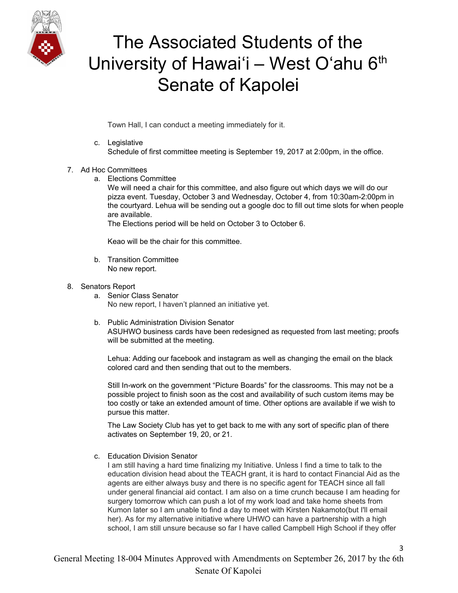

Town Hall, I can conduct a meeting immediately for it.

c. Legislative Schedule of first committee meeting is September 19, 2017 at 2:00pm, in the office.

### 7. Ad Hoc Committees

a. Elections Committee

We will need a chair for this committee, and also figure out which days we will do our pizza event. Tuesday, October 3 and Wednesday, October 4, from 10:30am-2:00pm in the courtyard. Lehua will be sending out a google doc to fill out time slots for when people are available.

The Elections period will be held on October 3 to October 6.

Keao will be the chair for this committee.

b. Transition Committee No new report.

#### 8. Senators Report

- a. Senior Class Senator No new report, I haven't planned an initiative yet.
- b. Public Administration Division Senator ASUHWO business cards have been redesigned as requested from last meeting; proofs will be submitted at the meeting.

Lehua: Adding our facebook and instagram as well as changing the email on the black colored card and then sending that out to the members.

Still In-work on the government "Picture Boards" for the classrooms. This may not be a possible project to finish soon as the cost and availability of such custom items may be too costly or take an extended amount of time. Other options are available if we wish to pursue this matter.

The Law Society Club has yet to get back to me with any sort of specific plan of there activates on September 19, 20, or 21.

c. Education Division Senator

I am still having a hard time finalizing my Initiative. Unless I find a time to talk to the education division head about the TEACH grant, it is hard to contact Financial Aid as the agents are either always busy and there is no specific agent for TEACH since all fall under general financial aid contact. I am also on a time crunch because I am heading for surgery tomorrow which can push a lot of my work load and take home sheets from Kumon later so I am unable to find a day to meet with Kirsten Nakamoto(but I'll email her). As for my alternative initiative where UHWO can have a partnership with a high school, I am still unsure because so far I have called Campbell High School if they offer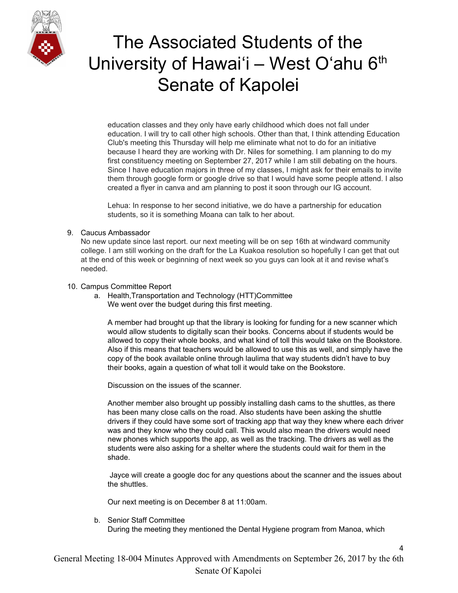

education classes and they only have early childhood which does not fall under education. I will try to call other high schools. Other than that, I think attending Education Club's meeting this Thursday will help me eliminate what not to do for an initiative because I heard they are working with Dr. Niles for something. I am planning to do my first constituency meeting on September 27, 2017 while I am still debating on the hours. Since I have education majors in three of my classes, I might ask for their emails to invite them through google form or google drive so that I would have some people attend. I also created a flyer in canva and am planning to post it soon through our IG account.

Lehua: In response to her second initiative, we do have a partnership for education students, so it is something Moana can talk to her about.

### 9. Caucus Ambassador

No new update since last report. our next meeting will be on sep 16th at windward community college. I am still working on the draft for the La Kuakoa resolution so hopefully I can get that out at the end of this week or beginning of next week so you guys can look at it and revise what's needed.

### 10. Campus Committee Report

a. Health,Transportation and Technology (HTT)Committee We went over the budget during this first meeting.

A member had brought up that the library is looking for funding for a new scanner which would allow students to digitally scan their books. Concerns about if students would be allowed to copy their whole books, and what kind of toll this would take on the Bookstore. Also if this means that teachers would be allowed to use this as well, and simply have the copy of the book available online through laulima that way students didn't have to buy their books, again a question of what toll it would take on the Bookstore.

Discussion on the issues of the scanner.

Another member also brought up possibly installing dash cams to the shuttles, as there has been many close calls on the road. Also students have been asking the shuttle drivers if they could have some sort of tracking app that way they knew where each driver was and they know who they could call. This would also mean the drivers would need new phones which supports the app, as well as the tracking. The drivers as well as the students were also asking for a shelter where the students could wait for them in the shade.

Jayce will create a google doc for any questions about the scanner and the issues about the shuttles.

4

Our next meeting is on December 8 at 11:00am.

b. Senior Staff Committee During the meeting they mentioned the Dental Hygiene program from Manoa, which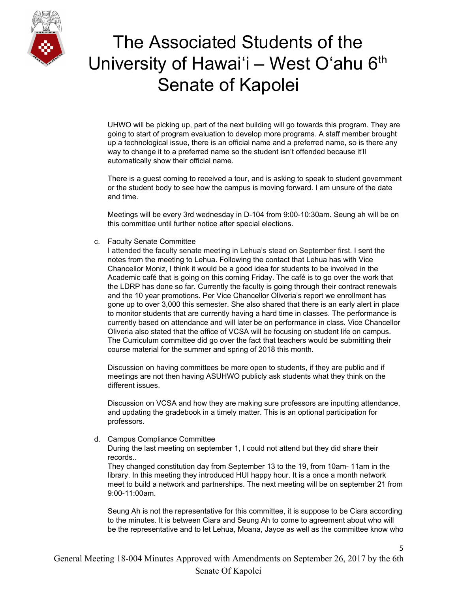

UHWO will be picking up, part of the next building will go towards this program. They are going to start of program evaluation to develop more programs. A staff member brought up a technological issue, there is an official name and a preferred name, so is there any way to change it to a preferred name so the student isn't offended because it'll automatically show their official name.

There is a guest coming to received a tour, and is asking to speak to student government or the student body to see how the campus is moving forward. I am unsure of the date and time.

Meetings will be every 3rd wednesday in D-104 from 9:00-10:30am. Seung ah will be on this committee until further notice after special elections.

c. Faculty Senate Committee

I attended the faculty senate meeting in Lehua's stead on September first. I sent the notes from the meeting to Lehua. Following the contact that Lehua has with Vice Chancellor Moniz, I think it would be a good idea for students to be involved in the Academic café that is going on this coming Friday. The café is to go over the work that the LDRP has done so far. Currently the faculty is going through their contract renewals and the 10 year promotions. Per Vice Chancellor Oliveria's report we enrollment has gone up to over 3,000 this semester. She also shared that there is an early alert in place to monitor students that are currently having a hard time in classes. The performance is currently based on attendance and will later be on performance in class. Vice Chancellor Oliveria also stated that the office of VCSA will be focusing on student life on campus. The Curriculum committee did go over the fact that teachers would be submitting their course material for the summer and spring of 2018 this month.

Discussion on having committees be more open to students, if they are public and if meetings are not then having ASUHWO publicly ask students what they think on the different issues.

Discussion on VCSA and how they are making sure professors are inputting attendance, and updating the gradebook in a timely matter. This is an optional participation for professors.

d. Campus Compliance Committee

During the last meeting on september 1, I could not attend but they did share their records..

They changed constitution day from September 13 to the 19, from 10am- 11am in the library. In this meeting they introduced HUI happy hour. It is a once a month network meet to build a network and partnerships. The next meeting will be on september 21 from 9:00-11:00am.

Seung Ah is not the representative for this committee, it is suppose to be Ciara according to the minutes. It is between Ciara and Seung Ah to come to agreement about who will be the representative and to let Lehua, Moana, Jayce as well as the committee know who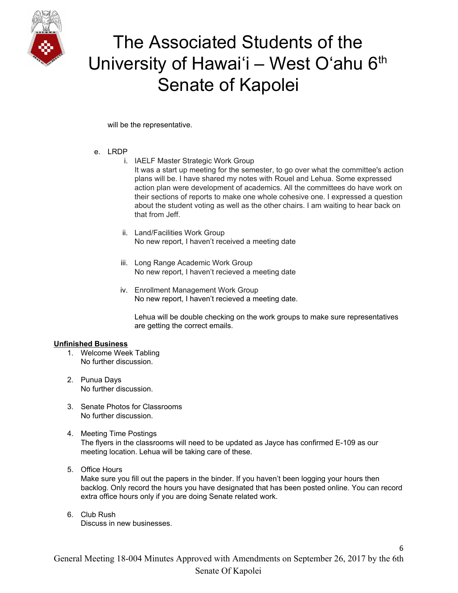

will be the representative.

### e. LRDP

- i. IAELF Master Strategic Work Group
	- It was a start up meeting for the semester, to go over what the committee's action plans will be. I have shared my notes with Rouel and Lehua. Some expressed action plan were development of academics. All the committees do have work on their sections of reports to make one whole cohesive one. I expressed a question about the student voting as well as the other chairs. I am waiting to hear back on that from Jeff.
- ii. Land/Facilities Work Group No new report, I haven't received a meeting date
- iii. Long Range Academic Work Group No new report, I haven't recieved a meeting date
- iv. Enrollment Management Work Group No new report, I haven't recieved a meeting date.

Lehua will be double checking on the work groups to make sure representatives are getting the correct emails.

### **Unfinished Business**

- 1. Welcome Week Tabling No further discussion.
- 2. Punua Days No further discussion.
- 3. Senate Photos for Classrooms No further discussion.
- 4. Meeting Time Postings The flyers in the classrooms will need to be updated as Jayce has confirmed E-109 as our meeting location. Lehua will be taking care of these.
- 5. Office Hours

Make sure you fill out the papers in the binder. If you haven't been logging your hours then backlog. Only record the hours you have designated that has been posted online. You can record extra office hours only if you are doing Senate related work.

6

6. Club Rush Discuss in new businesses.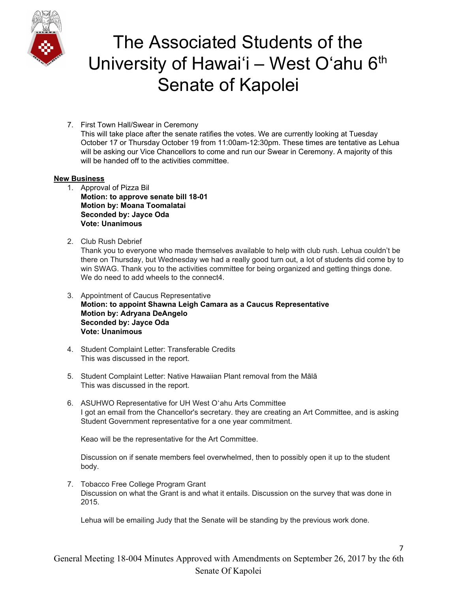

7. First Town Hall/Swear in Ceremony This will take place after the senate ratifies the votes. We are currently looking at Tuesday October 17 or Thursday October 19 from 11:00am-12:30pm. These times are tentative as Lehua will be asking our Vice Chancellors to come and run our Swear in Ceremony. A majority of this will be handed off to the activities committee.

### **New Business**

- 1. Approval of Pizza Bil **Motion: to approve senate bill 18-01 Motion by: Moana Toomalatai Seconded by: Jayce Oda Vote: Unanimous**
- 2. Club Rush Debrief

Thank you to everyone who made themselves available to help with club rush. Lehua couldn't be there on Thursday, but Wednesday we had a really good turn out, a lot of students did come by to win SWAG. Thank you to the activities committee for being organized and getting things done. We do need to add wheels to the connect4.

- 3. Appointment of Caucus Representative **Motion: to appoint Shawna Leigh Camara as a Caucus Representative Motion by: Adryana DeAngelo Seconded by: Jayce Oda Vote: Unanimous**
- 4. Student Complaint Letter: Transferable Credits This was discussed in the report.
- 5. Student Complaint Letter: Native Hawaiian Plant removal from the Mālā This was discussed in the report.
- 6. ASUHWO Representative for UH West Oʻahu Arts Committee I got an email from the Chancellor's secretary. they are creating an Art Committee, and is asking Student Government representative for a one year commitment.

Keao will be the representative for the Art Committee.

Discussion on if senate members feel overwhelmed, then to possibly open it up to the student body.

7. Tobacco Free College Program Grant Discussion on what the Grant is and what it entails. Discussion on the survey that was done in 2015.

Lehua will be emailing Judy that the Senate will be standing by the previous work done.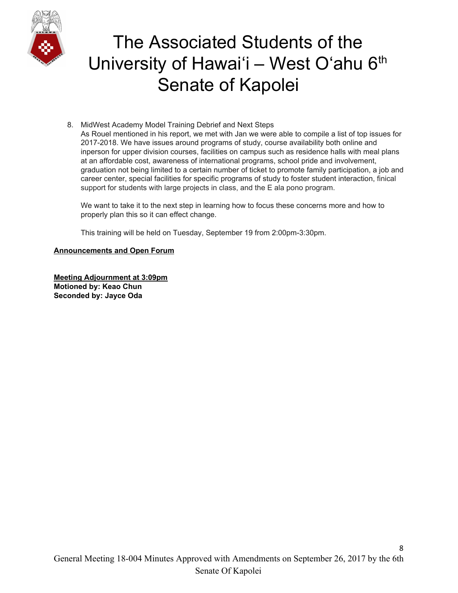

8. MidWest Academy Model Training Debrief and Next Steps As Rouel mentioned in his report, we met with Jan we were able to compile a list of top issues for 2017-2018. We have issues around programs of study, course availability both online and inperson for upper division courses, facilities on campus such as residence halls with meal plans at an affordable cost, awareness of international programs, school pride and involvement, graduation not being limited to a certain number of ticket to promote family participation, a job and career center, special facilities for specific programs of study to foster student interaction, finical support for students with large projects in class, and the E ala pono program.

We want to take it to the next step in learning how to focus these concerns more and how to properly plan this so it can effect change.

This training will be held on Tuesday, September 19 from 2:00pm-3:30pm.

### **Announcements and Open Forum**

**Meeting Adjournment at 3:09pm Motioned by: Keao Chun Seconded by: Jayce Oda**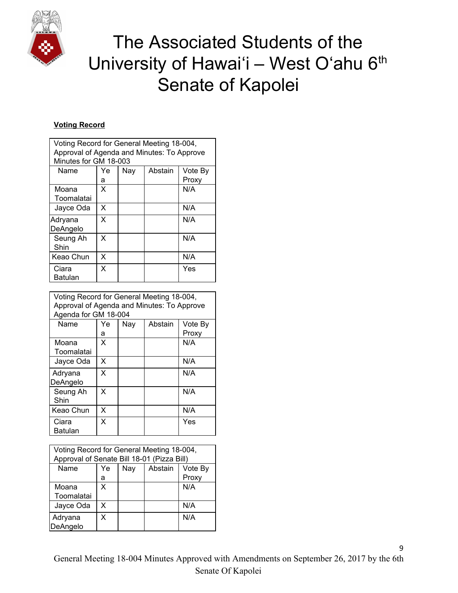

### **Voting Record**

| Voting Record for General Meeting 18-004,<br>Approval of Agenda and Minutes: To Approve<br>Minutes for GM 18-003 |    |     |         |         |
|------------------------------------------------------------------------------------------------------------------|----|-----|---------|---------|
| Name                                                                                                             | Ye | Nay | Abstain | Vote By |
|                                                                                                                  | а  |     |         | Proxy   |
| Moana<br>Toomalatai                                                                                              | x  |     |         | N/A     |
| Jayce Oda                                                                                                        | X  |     |         | N/A     |
| Adryana<br>DeAngelo                                                                                              | X  |     |         | N/A     |
| Seung Ah<br>Shin                                                                                                 | X  |     |         | N/A     |
| Keao Chun                                                                                                        | X  |     |         | N/A     |
| Ciara<br>Batulan                                                                                                 | X  |     |         | Yes     |

| Voting Record for General Meeting 18-004,<br>Approval of Agenda and Minutes: To Approve<br>Agenda for GM 18-004 |    |     |         |         |
|-----------------------------------------------------------------------------------------------------------------|----|-----|---------|---------|
| Name                                                                                                            | Ye | Nay | Abstain | Vote By |
|                                                                                                                 | а  |     |         | Proxy   |
| Moana                                                                                                           | x  |     |         | N/A     |
| Toomalatai                                                                                                      |    |     |         |         |
| Jayce Oda                                                                                                       | X  |     |         | N/A     |
| Adryana                                                                                                         | X  |     |         | N/A     |
| DeAngelo                                                                                                        |    |     |         |         |
| Seung Ah                                                                                                        | X  |     |         | N/A     |
| Shin                                                                                                            |    |     |         |         |
| Keao Chun                                                                                                       | x  |     |         | N/A     |
| Ciara                                                                                                           | X  |     |         | Yes     |
| Batulan                                                                                                         |    |     |         |         |

| Voting Record for General Meeting 18-004,<br>Approval of Senate Bill 18-01 (Pizza Bill) |         |     |         |                  |
|-----------------------------------------------------------------------------------------|---------|-----|---------|------------------|
| Name                                                                                    | Ye<br>а | Nay | Abstain | Vote By<br>Proxy |
| Moana<br>Toomalatai                                                                     | X       |     |         | N/A              |
| Jayce Oda                                                                               | x       |     |         | N/A              |
| Adryana<br>DeAngelo                                                                     | x       |     |         | N/A              |